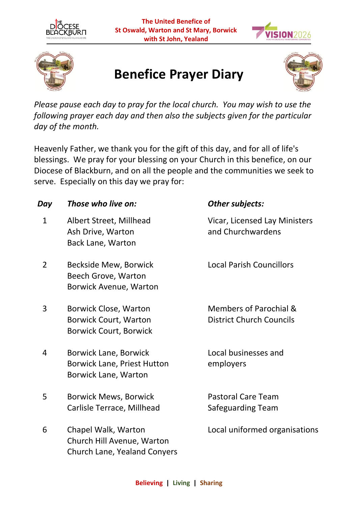





## **Benefice Prayer Diary**



*Please pause each day to pray for the local church. You may wish to use the following prayer each day and then also the subjects given for the particular day of the month.* 

Heavenly Father, we thank you for the gift of this day, and for all of life's blessings. We pray for your blessing on your Church in this benefice, on our Diocese of Blackburn, and on all the people and the communities we seek to serve. Especially on this day we pray for:

| Day            | Those who live on:                                                                         | Other subjects:                                           |
|----------------|--------------------------------------------------------------------------------------------|-----------------------------------------------------------|
| $\mathbf{1}$   | Albert Street, Millhead<br>Ash Drive, Warton<br><b>Back Lane, Warton</b>                   | Vicar, Licensed Lay Ministers<br>and Churchwardens        |
| $\overline{2}$ | <b>Beckside Mew, Borwick</b><br>Beech Grove, Warton<br><b>Borwick Avenue, Warton</b>       | <b>Local Parish Councillors</b>                           |
| 3              | Borwick Close, Warton<br><b>Borwick Court, Warton</b><br><b>Borwick Court, Borwick</b>     | Members of Parochial &<br><b>District Church Councils</b> |
| 4              | Borwick Lane, Borwick<br><b>Borwick Lane, Priest Hutton</b><br><b>Borwick Lane, Warton</b> | Local businesses and<br>employers                         |
| 5              | <b>Borwick Mews, Borwick</b><br>Carlisle Terrace, Millhead                                 | <b>Pastoral Care Team</b><br>Safeguarding Team            |
| 6              | Chapel Walk, Warton<br>Church Hill Avenue, Warton<br><b>Church Lane, Yealand Conyers</b>   | Local uniformed organisations                             |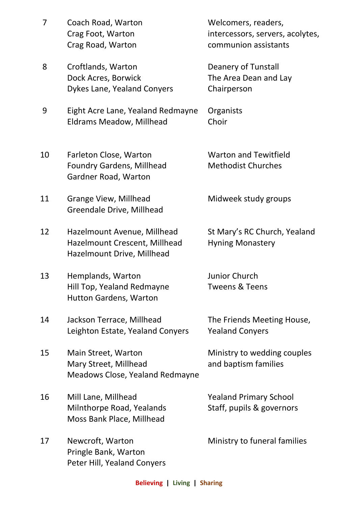| 7  | Coach Road, Warton<br>Crag Foot, Warton<br>Crag Road, Warton                               | Welcomers, readers,<br>intercessors, servers, acolytes,<br>communion assistants |
|----|--------------------------------------------------------------------------------------------|---------------------------------------------------------------------------------|
| 8  | Croftlands, Warton<br>Dock Acres, Borwick<br>Dykes Lane, Yealand Conyers                   | Deanery of Tunstall<br>The Area Dean and Lay<br>Chairperson                     |
| 9  | Eight Acre Lane, Yealand Redmayne<br><b>Eldrams Meadow, Millhead</b>                       | Organists<br>Choir                                                              |
| 10 | Farleton Close, Warton<br><b>Foundry Gardens, Millhead</b><br>Gardner Road, Warton         | <b>Warton and Tewitfield</b><br><b>Methodist Churches</b>                       |
| 11 | <b>Grange View, Millhead</b><br>Greendale Drive, Millhead                                  | Midweek study groups                                                            |
| 12 | Hazelmount Avenue, Millhead<br>Hazelmount Crescent, Millhead<br>Hazelmount Drive, Millhead | St Mary's RC Church, Yealand<br><b>Hyning Monastery</b>                         |
| 13 | Hemplands, Warton<br>Hill Top, Yealand Redmayne<br><b>Hutton Gardens, Warton</b>           | Junior Church<br><b>Tweens &amp; Teens</b>                                      |
| 14 | Jackson Terrace, Millhead<br>Leighton Estate, Yealand Conyers                              | The Friends Meeting House,<br><b>Yealand Conyers</b>                            |
| 15 | Main Street, Warton<br>Mary Street, Millhead<br>Meadows Close, Yealand Redmayne            | Ministry to wedding couples<br>and baptism families                             |
| 16 | Mill Lane, Millhead<br>Milnthorpe Road, Yealands<br>Moss Bank Place, Millhead              | <b>Yealand Primary School</b><br>Staff, pupils & governors                      |
| 17 | Newcroft, Warton<br>Pringle Bank, Warton<br>Peter Hill, Yealand Conyers                    | Ministry to funeral families                                                    |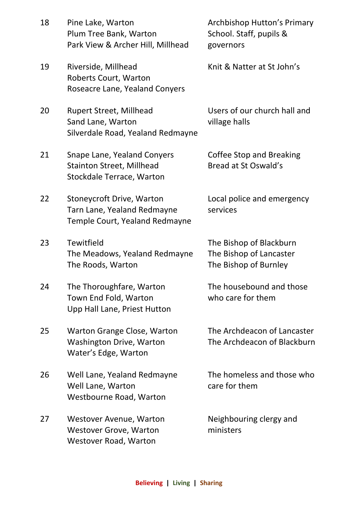| 18 | Pine Lake, Warton<br>Plum Tree Bank, Warton<br>Park View & Archer Hill, Millhead                           |
|----|------------------------------------------------------------------------------------------------------------|
| 19 | Riverside, Millhead<br><b>Roberts Court, Warton</b><br><b>Roseacre Lane, Yealand Conyers</b>               |
| 20 | <b>Rupert Street, Millhead</b><br>Sand Lane, Warton<br>Silverdale Road, Yealand Redmayne                   |
| 21 | <b>Snape Lane, Yealand Conyers</b><br><b>Stainton Street, Millhead</b><br><b>Stockdale Terrace, Warton</b> |
| 22 | <b>Stoneycroft Drive, Warton</b><br>Tarn Lane, Yealand Redmayne<br>Temple Court, Yealand Redmayne          |
|    |                                                                                                            |

23 Tewitfield The Meadows, Yealand Redmayne The Roods, Warton

24 The Thoroughfare, Warton Town End Fold, Warton Upp Hall Lane, Priest Hutton

25 Warton Grange Close, Warton Washington Drive, Warton Water's Edge, Warton

26 Well Lane, Yealand Redmayne Well Lane, Warton Westbourne Road, Warton

27 Westover Avenue, Warton Westover Grove, Warton Westover Road, Warton

Archbishop Hutton's Primary School. Staff, pupils & governors

Knit & Natter at St John's

Users of our church hall and village halls

Coffee Stop and Breaking Bread at St Oswald's

Local police and emergency services

The Bishop of Blackburn The Bishop of Lancaster The Bishop of Burnley

The housebound and those who care for them

The Archdeacon of Lancaster The Archdeacon of Blackburn

The homeless and those who care for them

Neighbouring clergy and ministers